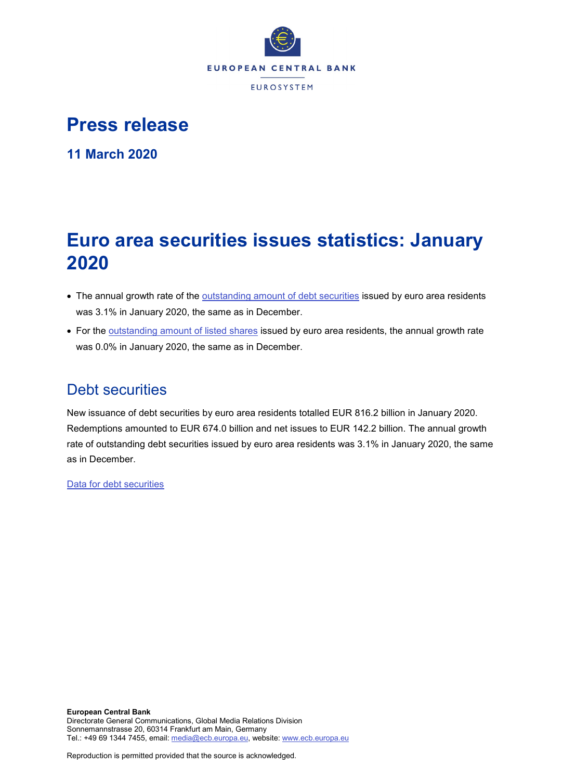

# **Press release**

**11 March 2020**

# **Euro area securities issues statistics: January 2020**

- The annual growth rate of the [outstanding amount of debt securities](http://sdw.ecb.europa.eu/quickview.do?SERIES_KEY=130.SEC.M.I8.1000.F33000.N.I.Z01.A.Z) issued by euro area residents was 3.1% in January 2020, the same as in December.
- For the [outstanding amount of listed shares](http://sdw.ecb.europa.eu/quickview.do?SERIES_KEY=130.SEC.M.I8.1000.F51100.M.I.Z01.A.Z) issued by euro area residents, the annual growth rate was 0.0% in January 2020, the same as in December.

# Debt securities

New issuance of debt securities by euro area residents totalled EUR 816.2 billion in January 2020. Redemptions amounted to EUR 674.0 billion and net issues to EUR 142.2 billion. The annual growth rate of outstanding debt securities issued by euro area residents was 3.1% in January 2020, the same as in December.

[Data for debt securities](http://sdw.ecb.europa.eu/browseSelection.do?type=series&q=SEC.M.I8.1000.F33000.N.2.Z01.E.Z%2c+SEC.M.I8.1000.F33000.N.3.Z01.E.Z%2c+SEC.M.I8.1000.F33000.N.4.Z01.E.Z%2c+SEC.M.I8.1000.F33000.N.I.Z01.A.Z&node=SEARCHRESULTS&ec=&oc=&rc=&cv=&pb=&dc=&df=)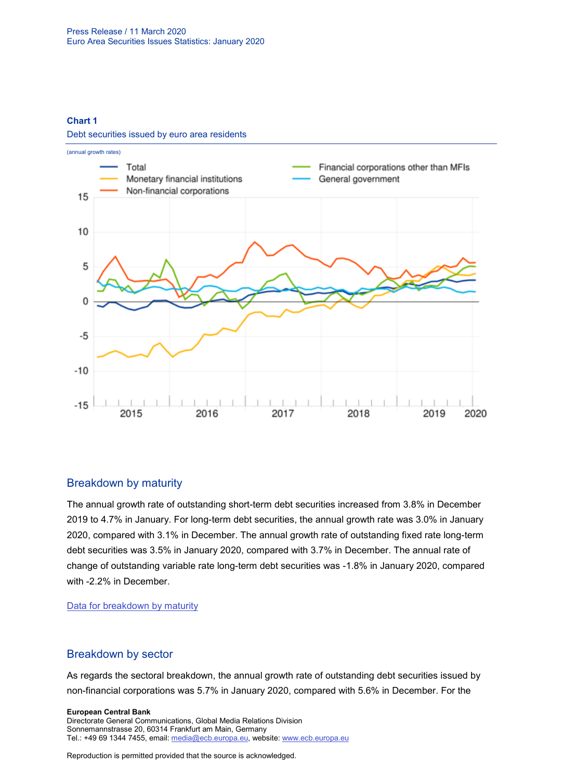#### **Chart 1**

Debt securities issued by euro area residents



## Breakdown by maturity

The annual growth rate of outstanding short-term debt securities increased from 3.8% in December 2019 to 4.7% in January. For long-term debt securities, the annual growth rate was 3.0% in January 2020, compared with 3.1% in December. The annual growth rate of outstanding fixed rate long-term debt securities was 3.5% in January 2020, compared with 3.7% in December. The annual rate of change of outstanding variable rate long-term debt securities was -1.8% in January 2020, compared with -2.2% in December.

[Data for breakdown by maturity](http://sdw.ecb.europa.eu/browseSelection.do?type=series&q=SEC.M.I8.1000.F33100.N.I.Z01.A.Z%2c+SEC.M.I8.1000.F33200.N.I.Z01.A.Z%2c+SEC.M.I8.1000.F33201.N.I.Z01.A.Z%2c+SEC.M.I8.1000.F33202.N.I.Z01.A.Z&node=SEARCHRESULTS&ec=&oc=&rc=&cv=&pb=&dc=&df=)

## Breakdown by sector

As regards the sectoral breakdown, the annual growth rate of outstanding debt securities issued by non-financial corporations was 5.7% in January 2020, compared with 5.6% in December. For the

**European Central Bank** Directorate General Communications, Global Media Relations Division Sonnemannstrasse 20, 60314 Frankfurt am Main, Germany Tel.: +49 69 1344 7455, email[: media@ecb.europa.eu,](mailto:media@ecb.europa.eu) website: www.ecb.europa.eu

Reproduction is permitted provided that the source is acknowledged.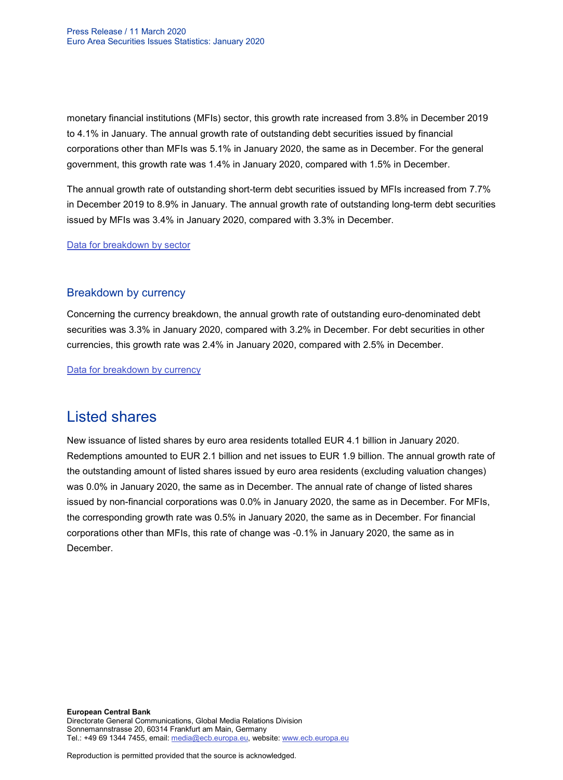monetary financial institutions (MFIs) sector, this growth rate increased from 3.8% in December 2019 to 4.1% in January. The annual growth rate of outstanding debt securities issued by financial corporations other than MFIs was 5.1% in January 2020, the same as in December. For the general government, this growth rate was 1.4% in January 2020, compared with 1.5% in December.

The annual growth rate of outstanding short-term debt securities issued by MFIs increased from 7.7% in December 2019 to 8.9% in January. The annual growth rate of outstanding long-term debt securities issued by MFIs was 3.4% in January 2020, compared with 3.3% in December.

[Data for breakdown by sector](http://sdw.ecb.europa.eu/browseSelection.do?type=series&q=SEC.M.I8.1100.F33000.N.I.Z01.A.Z%2cSEC.M.I8.1220.F33000.N.I.Z01.A.Z%2cSEC.M.I8.1235.F33000.N.I.Z01.A.Z%2cSEC.M.I8.1300.F33000.N.I.Z01.A.Z%2cSEC.M.I8.1220.F33100.N.I.Z01.A.Z%2cSEC.M.I8.1220.F33200.N.I.Z01.A.Z&node=SEARCHRESULTS&ec=&oc=&rc=&cv=&pb=&dc=&df=)

## Breakdown by currency

Concerning the currency breakdown, the annual growth rate of outstanding euro-denominated debt securities was 3.3% in January 2020, compared with 3.2% in December. For debt securities in other currencies, this growth rate was 2.4% in January 2020, compared with 2.5% in December.

[Data for breakdown by currency](http://sdw.ecb.europa.eu/browseSelection.do?type=series&q=SEC.M.I8.1000.F33000.N.I.EUR.A.Z%2cSEC.M.I8.1000.F33000.N.I.Z06.A.Z&node=SEARCHRESULTS&ec=&oc=&rc=&cv=&pb=&dc=&df=)

# Listed shares

New issuance of listed shares by euro area residents totalled EUR 4.1 billion in January 2020. Redemptions amounted to EUR 2.1 billion and net issues to EUR 1.9 billion. The annual growth rate of the outstanding amount of listed shares issued by euro area residents (excluding valuation changes) was 0.0% in January 2020, the same as in December. The annual rate of change of listed shares issued by non-financial corporations was 0.0% in January 2020, the same as in December. For MFIs, the corresponding growth rate was 0.5% in January 2020, the same as in December. For financial corporations other than MFIs, this rate of change was -0.1% in January 2020, the same as in December.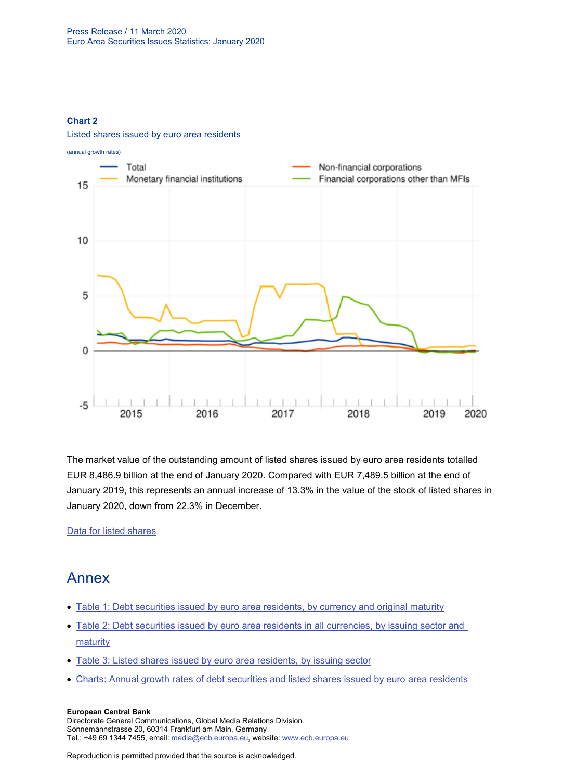### **Chart 2**

Listed shares issued by euro area residents



The market value of the outstanding amount of listed shares issued by euro area residents totalled EUR 8,486.9 billion at the end of January 2020. Compared with EUR 7,489.5 billion at the end of January 2019, this represents an annual increase of 13.3% in the value of the stock of listed shares in January 2020, down from 22.3% in December.

[Data for listed shares](http://sdw.ecb.europa.eu/browseSelection.do?type=series&q=SEC.M.I8.1000.F51100.M.2.Z01.E.Z%2cSEC.M.I8.1000.F51100.M.3.Z01.E.Z%2cSEC.M.I8.1000.F51100.M.4.Z01.E.Z%2cSEC.M.I8.1000.F51100.M.I.Z01.A.Z%2cSEC.M.I8.1100.F51100.M.I.Z01.A.Z%2cSEC.M.I8.1220.F51100.M.I.Z01.A.Z%2cSEC.M.I8.1235.F51100.M.I.Z01.A.Z%2cSEC.M.I8.1000.F51100.M.1.Z01.E.Z&node=SEARCHRESULTS&ec=&oc=&rc=&cv=&pb=&dc=&df=)

# Annex

- [Table 1: Debt securities issued by euro area residents, by currency and original maturity](http://sdw.ecb.europa.eu/web/generator/prl/pr_sec_t01_202001.pdf)
- [Table 2: Debt securities issued by euro area residents in all currencies, by issuing sector and](http://sdw.ecb.europa.eu/web/generator/prl/pr_sec_t02_202001.pdf)  **[maturity](http://sdw.ecb.europa.eu/web/generator/prl/pr_sec_t02_202001.pdf)**
- [Table 3: Listed shares issued by euro area residents, by issuing sector](http://sdw.ecb.europa.eu/web/generator/prl/pr_sec_t03_202001.pdf)
- [Charts: Annual growth rates of debt securities and listed shares issued by euro area residents](http://sdw.ecb.europa.eu/web/generator/prl/pr_sec_c01_202001.pdf)

#### **European Central Bank**

Directorate General Communications, Global Media Relations Division Sonnemannstrasse 20, 60314 Frankfurt am Main, Germany Tel.: +49 69 1344 7455, email[: media@ecb.europa.eu,](mailto:media@ecb.europa.eu) website: www.ecb.europa.eu

Reproduction is permitted provided that the source is acknowledged.